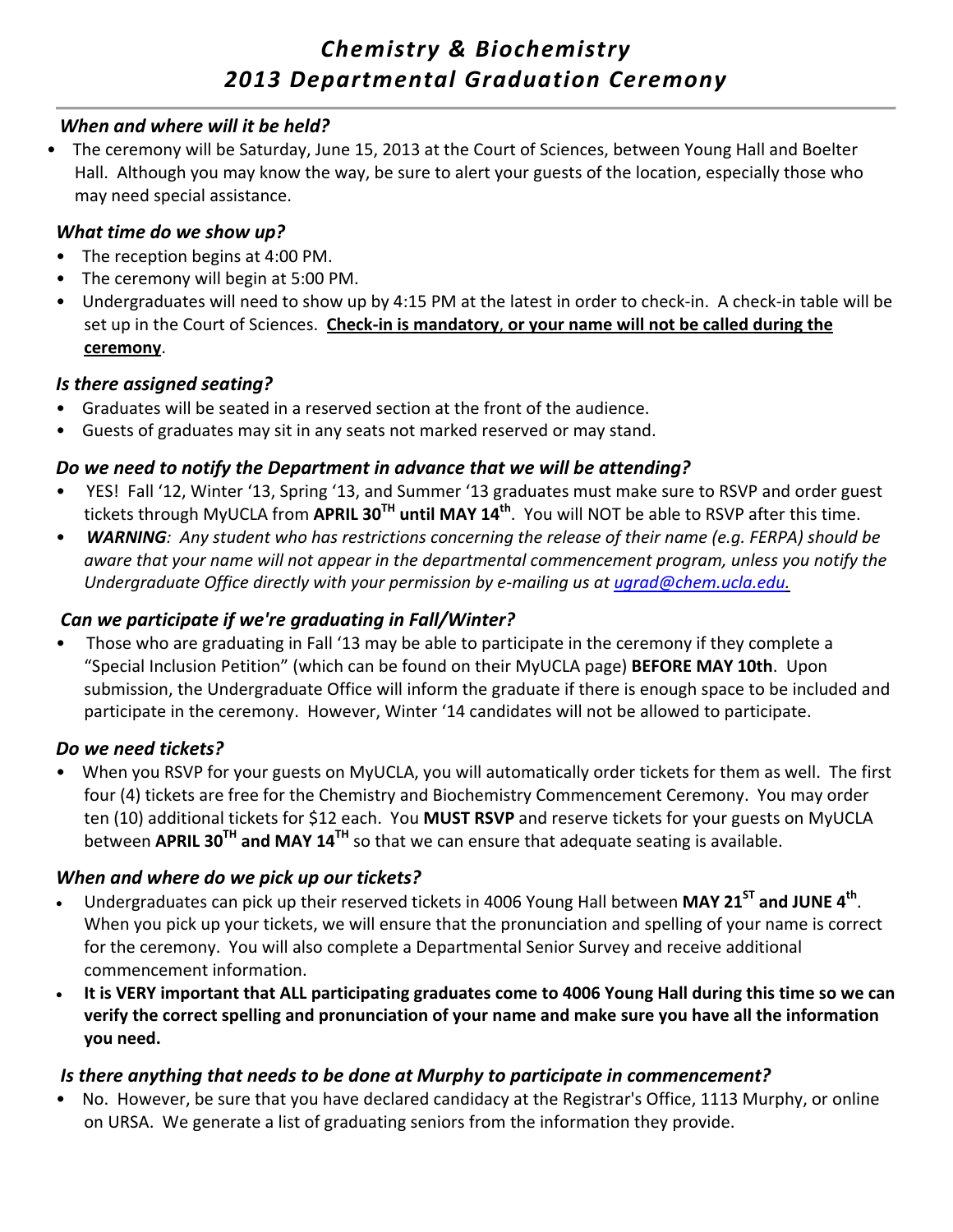# *Chemistry & Biochemistry 2013 Departmental Graduation Ceremony*

#### *When and where will it be held?*

• The ceremony will be Saturday, June 15, 2013 at the Court of Sciences, between Young Hall and Boelter Hall. Although you may know the way, be sure to alert your guests of the location, especially those who may need special assistance.

#### *What time do we show up?*

- The reception begins at 4:00 PM.
- The ceremony will begin at 5:00 PM.
- Undergraduates will need to show up by 4:15 PM at the latest in order to check-in. A check-in table will be set up in the Court of Sciences. **Check‐in is mandatory**, **or your name will not be called during the ceremony**.

#### *Is there assigned seating?*

- Graduates will be seated in a reserved section at the front of the audience.
- Guests of graduates may sit in any seats not marked reserved or may stand.

### *Do we need to notify the Department in advance that we will be attending?*

- YES! Fall '12, Winter '13, Spring '13, and Summer '13 graduates must make sure to RSVP and order guest tickets through MyUCLA from **APRIL 30TH until MAY 14th**. You will NOT be able to RSVP after this time.
- WARNING: Any student who has restrictions concerning the release of their name (e.g. FERPA) should be *aware that your name will not appear in the departmental commencement program, unless you notify the Undergraduate Office directly with your permission by e‐mailing us at ugrad@chem.ucla.edu.*

### *Can we participate if we're graduating in Fall/Winter?*

• Those who are graduating in Fall '13 may be able to participate in the ceremony if they complete a "Special Inclusion Petition" (which can be found on their MyUCLA page) **BEFORE MAY 10th**. Upon submission, the Undergraduate Office will inform the graduate if there is enough space to be included and participate in the ceremony. However, Winter '14 candidates will not be allowed to participate.

### *Do we need tickets?*

When you RSVP for your guests on MyUCLA, you will automatically order tickets for them as well. The first four (4) tickets are free for the Chemistry and Biochemistry Commencement Ceremony. You may order ten (10) additional tickets for \$12 each. You **MUST RSVP** and reserve tickets for your guests on MyUCLA between **APRIL 30TH and MAY 14TH** so that we can ensure that adequate seating is available.

### *When and where do we pick up our tickets?*

- Undergraduates can pick up their reserved tickets in 4006 Young Hall between **MAY 21ST and JUNE 4th**. When you pick up your tickets, we will ensure that the pronunciation and spelling of your name is correct for the ceremony. You will also complete a Departmental Senior Survey and receive additional commencement information.
- . It is VERY important that ALL participating graduates come to 4006 Young Hall during this time so we can **verify the correct spelling and pronunciation of your name and make sure you have all the information you need.**

### *Is there anything that needs to be done at Murphy to participate in commencement?*

• No. However, be sure that you have declared candidacy at the Registrar's Office, 1113 Murphy, or online on URSA. We generate a list of graduating seniors from the information they provide.